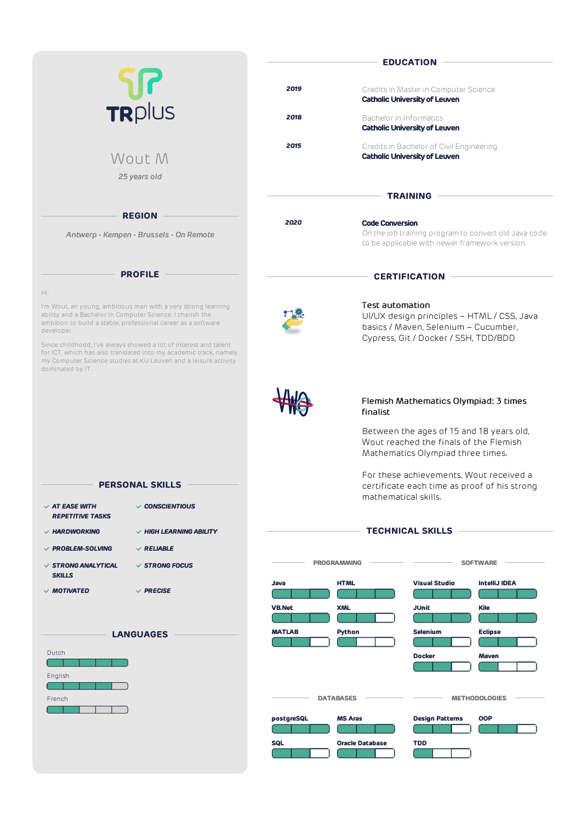|                                                                                                                                                                                                                              | <b>EDUCATION</b>                                                                                                                         |
|------------------------------------------------------------------------------------------------------------------------------------------------------------------------------------------------------------------------------|------------------------------------------------------------------------------------------------------------------------------------------|
|                                                                                                                                                                                                                              |                                                                                                                                          |
| <b>UI</b><br>TRplus                                                                                                                                                                                                          | 2019<br>Credits in Master in Computer Science<br><b>Catholic University of Leuven</b>                                                    |
|                                                                                                                                                                                                                              | 2018<br>Bachelor in Informatics<br><b>Catholic University of Leuven</b>                                                                  |
| Wout M                                                                                                                                                                                                                       | 2015<br>Credits in Bachelor of Civil Engineering<br><b>Catholic University of Leuven</b>                                                 |
| 25 years old                                                                                                                                                                                                                 |                                                                                                                                          |
|                                                                                                                                                                                                                              | <b>TRAINING</b>                                                                                                                          |
| <b>REGION</b>                                                                                                                                                                                                                |                                                                                                                                          |
| Antwerp - Kempen - Brussels - On Remote                                                                                                                                                                                      | 2020<br><b>Code Conversion</b><br>On the job training program to convert old Java code<br>to be applicable with newer framework version. |
| <b>PROFILE</b>                                                                                                                                                                                                               | <b>CERTIFICATION</b>                                                                                                                     |
| Hi,                                                                                                                                                                                                                          |                                                                                                                                          |
| I'm Wout, an young, ambitious man with a very strong learning<br>ability and a Bachelor in Computer Science. I cherish the<br>ambition to build a stable, professional career as a software<br>developer.                    | <b>Test automation</b><br>UI/UX design principles - HTML / CSS, Java<br>basics / Maven, Selenium - Cucumber,                             |
| Since childhood, I've always showed a lot of interest and talent<br>for ICT, which has also translated into my academic track, namely<br>my Computer Science studies at KU Leuven and a leisure activity<br>dominated by IT. | Cypress, Git / Docker / SSH, TDD/BDD                                                                                                     |
|                                                                                                                                                                                                                              | Flemish Mathematics Olympiad: 3 times<br>finalist                                                                                        |
|                                                                                                                                                                                                                              | Between the ages of 15 and 18 years old,<br>Wout reached the finals of the Flemish<br>Mathematics Olympiad three times.                  |
| <b>PERSONAL SKILLS</b>                                                                                                                                                                                                       | For these achievements, Wout received a<br>certificate each time as proof of his strong                                                  |
|                                                                                                                                                                                                                              | mathematical skills.                                                                                                                     |
| $\vee$ AT EASE WITH<br>$\vee$ CONSCIENTIOUS<br><b>REPETITIVE TASKS</b>                                                                                                                                                       |                                                                                                                                          |
| $\vee$ HARDWORKING<br>$\vee$ HIGH LEARNING ABILITY                                                                                                                                                                           | <b>TECHNICAL SKILLS</b>                                                                                                                  |
| $\vee$ PROBLEM-SOLVING<br>$\vee$ RELIABLE                                                                                                                                                                                    |                                                                                                                                          |
| <b>√ STRONG ANALYTICAL</b><br>$\vee$ STRONG FOCUS<br><b>SKILLS</b>                                                                                                                                                           | <b>PROGRAMMING</b><br><b>SOFTWARE</b>                                                                                                    |
| $\vee$ MOTIVATED<br>$\vee$ PRECISE                                                                                                                                                                                           | <b>HTML</b><br><b>IntelliJ IDEA</b><br>Java<br><b>Visual Studio</b>                                                                      |
|                                                                                                                                                                                                                              | <b>XML</b><br><b>JUnit</b><br><b>VB.Net</b><br><b>Kile</b>                                                                               |
| <b>LANGUAGES</b>                                                                                                                                                                                                             | <b>MATLAB</b><br><b>Python</b><br><b>Selenium</b><br><b>Eclipse</b>                                                                      |
| Dutch                                                                                                                                                                                                                        | <b>Docker</b><br>Maven                                                                                                                   |
| English                                                                                                                                                                                                                      |                                                                                                                                          |
| French                                                                                                                                                                                                                       | <b>METHODOLOGIES</b><br><b>DATABASES</b><br><b>Design Patterns</b><br><b>OOP</b><br>postgreSQL<br><b>MS Aras</b>                         |
|                                                                                                                                                                                                                              | <b>SQL</b><br><b>TDD</b><br><b>Oracle Database</b>                                                                                       |